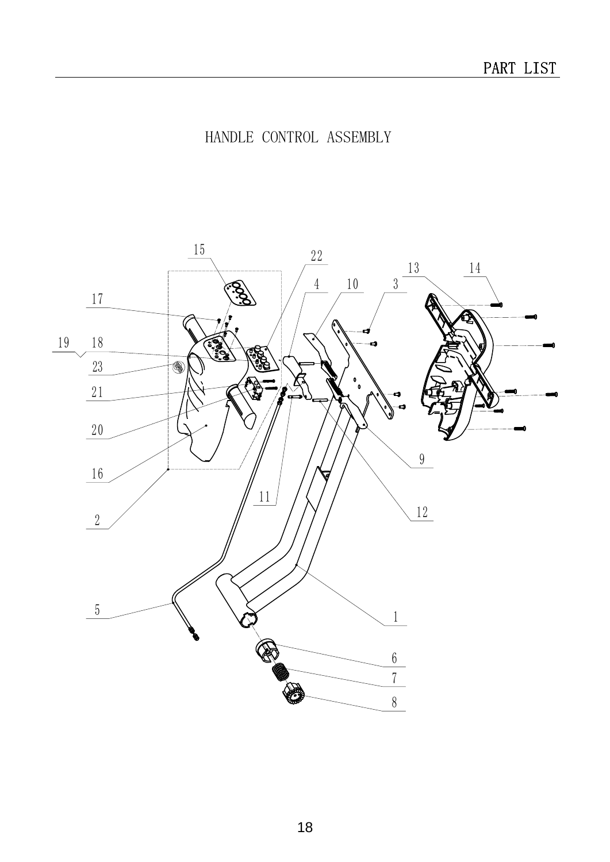## HANDLE CONTROL ASSEMBLY